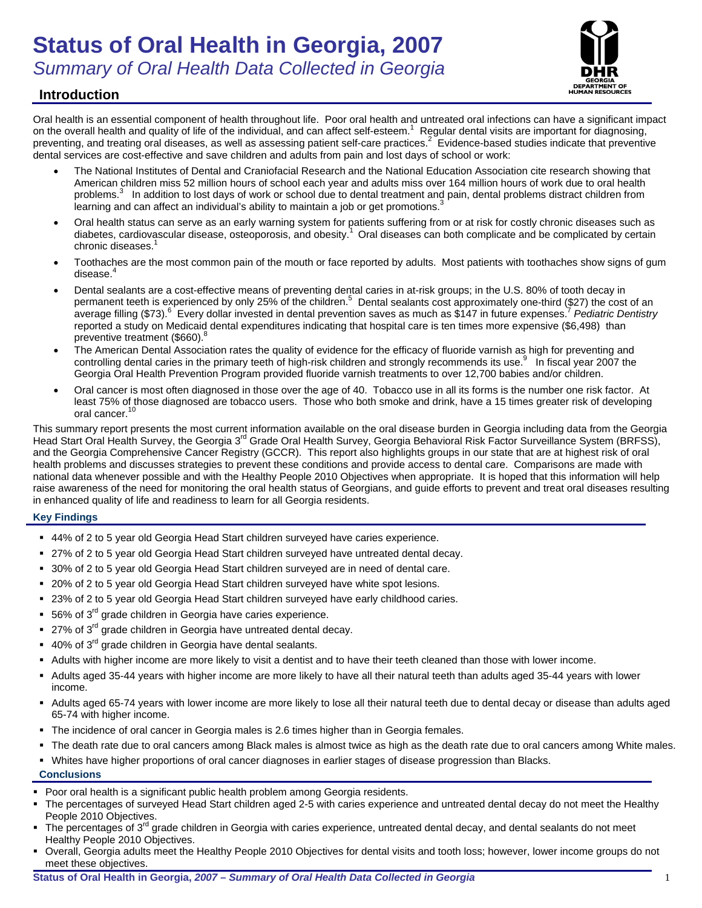# **Status of Oral Health in Georgia, 2007**  *Summary of Oral Health Data Collected in Georgia*



# **Introduction**

Oral health is an essential component of health throughout life. Poor oral health and untreated oral infections can have a significant impact on the overall health and quality of life of the individual, and can affect self-esteem.<sup>1</sup> Regular dental visits are important for diagnosing, preventing, and treating oral diseases, as well as assessing patient self-care practices.<sup>2</sup> Evidence-based studies indicate that preventive dental services are cost-effective and save children and adults from pain and lost days of school or work:

- The National Institutes of Dental and Craniofacial Research and the National Education Association cite research showing that American children miss 52 million hours of school each year and adults miss over 164 million hours of work due to oral health problems.<sup>3</sup> In addition to lost days of work or school due to dental treatment and pain, dental problems distract children from learning and can affect an individual's ability to maintain a job or get promotions.
- Oral health status can serve as an early warning system for patients suffering from or at risk for costly chronic diseases such as diabetes, cardiovascular disease, osteoporosis, and obesity.<sup>1</sup> Oral diseases can both complicate and be complicated by certain chronic diseases.<sup>1</sup>
- Toothaches are the most common pain of the mouth or face reported by adults. Most patients with toothaches show signs of gum disease.<sup>4</sup>
- Dental sealants are a cost-effective means of preventing dental caries in at-risk groups; in the U.S. 80% of tooth decay in permanent teeth is experienced by only 25% of the children.<sup>5</sup> Dental sealants cost approximately one-third (\$27) the cost of an average filling (\$73).<sup>6</sup> Every dollar invested in dental prevention saves as much as \$147 in future expenses.<sup>7</sup> Pediatric Dentistry reported a study on Medicaid dental expenditures indicating that hospital care is ten times more expensive (\$6,498) than preventive treatment (\$660).<sup>8</sup>
- The American Dental Association rates the quality of evidence for the efficacy of fluoride varnish as high for preventing and controlling dental caries in the primary teeth of high-risk children and strongly recommends its use.<sup>9</sup> In fiscal year 2007 the Georgia Oral Health Prevention Program provided fluoride varnish treatments to over 12,700 babies and/or children.
- Oral cancer is most often diagnosed in those over the age of 40. Tobacco use in all its forms is the number one risk factor. At least 75% of those diagnosed are tobacco users. Those who both smoke and drink, have a 15 times greater risk of developing oral cancer.

This summary report presents the most current information available on the oral disease burden in Georgia including data from the Georgia Head Start Oral Health Survey, the Georgia 3<sup>rd</sup> Grade Oral Health Survey, Georgia Behavioral Risk Factor Surveillance System (BRFSS), and the Georgia Comprehensive Cancer Registry (GCCR). This report also highlights groups in our state that are at highest risk of oral health problems and discusses strategies to prevent these conditions and provide access to dental care. Comparisons are made with national data whenever possible and with the Healthy People 2010 Objectives when appropriate. It is hoped that this information will help raise awareness of the need for monitoring the oral health status of Georgians, and guide efforts to prevent and treat oral diseases resulting in enhanced quality of life and readiness to learn for all Georgia residents.

## **Key Findings**

- 44% of 2 to 5 year old Georgia Head Start children surveyed have caries experience.
- 27% of 2 to 5 year old Georgia Head Start children surveyed have untreated dental decay.
- 30% of 2 to 5 year old Georgia Head Start children surveyed are in need of dental care.
- 20% of 2 to 5 year old Georgia Head Start children surveyed have white spot lesions.
- 23% of 2 to 5 year old Georgia Head Start children surveyed have early childhood caries.
- 56% of  $3^{\text{rd}}$  grade children in Georgia have caries experience.
- $27\%$  of  $3^{\text{rd}}$  grade children in Georgia have untreated dental decay.
- 40% of 3<sup>rd</sup> grade children in Georgia have dental sealants.
- Adults with higher income are more likely to visit a dentist and to have their teeth cleaned than those with lower income.
- Adults aged 35-44 years with higher income are more likely to have all their natural teeth than adults aged 35-44 years with lower income.
- Adults aged 65-74 years with lower income are more likely to lose all their natural teeth due to dental decay or disease than adults aged 65-74 with higher income.
- The incidence of oral cancer in Georgia males is 2.6 times higher than in Georgia females.
- The death rate due to oral cancers among Black males is almost twice as high as the death rate due to oral cancers among White males.
- Whites have higher proportions of oral cancer diagnoses in earlier stages of disease progression than Blacks.

**Conclusions** 

- **Poor oral health is a significant public health problem among Georgia residents.**
- The percentages of surveyed Head Start children aged 2-5 with caries experience and untreated dental decay do not meet the Healthy People 2010 Objectives.
- The percentages of  $3<sup>rd</sup>$  grade children in Georgia with caries experience, untreated dental decay, and dental sealants do not meet Healthy People 2010 Objectives.
- Overall, Georgia adults meet the Healthy People 2010 Objectives for dental visits and tooth loss; however, lower income groups do not meet these objectives.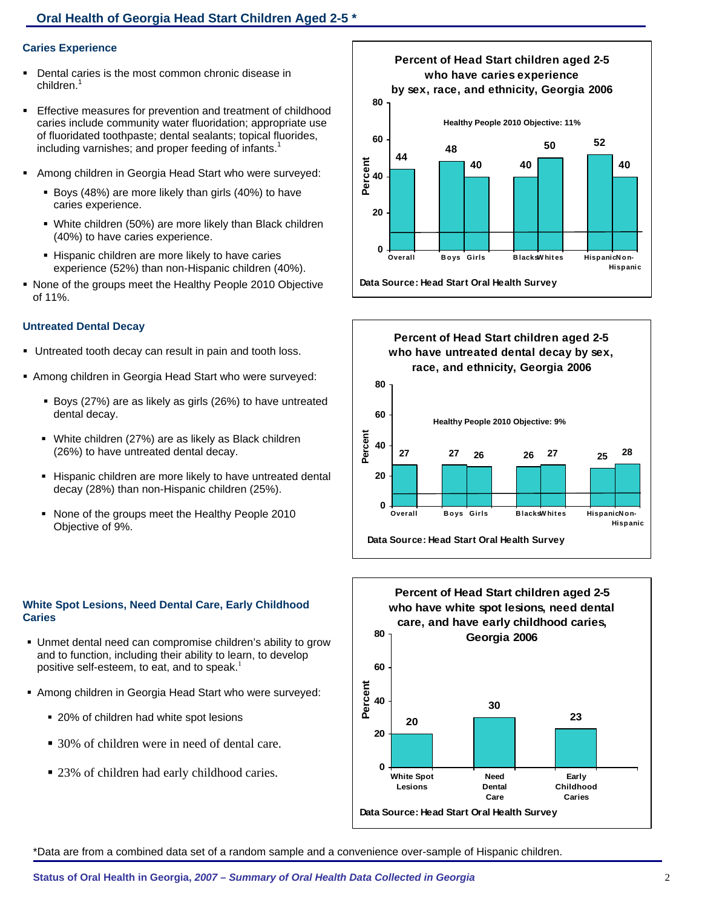## **Oral Health of Georgia Head Start Children Aged 2-5 \***

### **Caries Experience**

- Dental caries is the most common chronic disease in children.<sup>1</sup>
- Effective measures for prevention and treatment of childhood caries include community water fluoridation; appropriate use of fluoridated toothpaste; dental sealants; topical fluorides, including varnishes; and proper feeding of infants.<sup>1</sup>
- Among children in Georgia Head Start who were surveyed:
	- Boys (48%) are more likely than girls (40%) to have caries experience.
	- White children (50%) are more likely than Black children (40%) to have caries experience.
	- **Hispanic children are more likely to have caries** experience (52%) than non-Hispanic children (40%).
- None of the groups meet the Healthy People 2010 Objective of 11%.

#### **Untreated Dental Decay**

- Untreated tooth decay can result in pain and tooth loss.
- Among children in Georgia Head Start who were surveyed:
	- Boys (27%) are as likely as girls (26%) to have untreated dental decay.
	- White children (27%) are as likely as Black children (26%) to have untreated dental decay.
	- **Hispanic children are more likely to have untreated dental** decay (28%) than non-Hispanic children (25%).
	- None of the groups meet the Healthy People 2010 Objective of 9%.

### **White Spot Lesions, Need Dental Care, Early Childhood Caries**

- Unmet dental need can compromise children's ability to grow and to function, including their ability to learn, to develop positive self-esteem, to eat, and to speak.<sup>1</sup>
- Among children in Georgia Head Start who were surveyed:
	- 20% of children had white spot lesions
	- 30% of children were in need of dental care.
	- 23% of children had early childhood caries.







\*Data are from a combined data set of a random sample and a convenience over-sample of Hispanic children.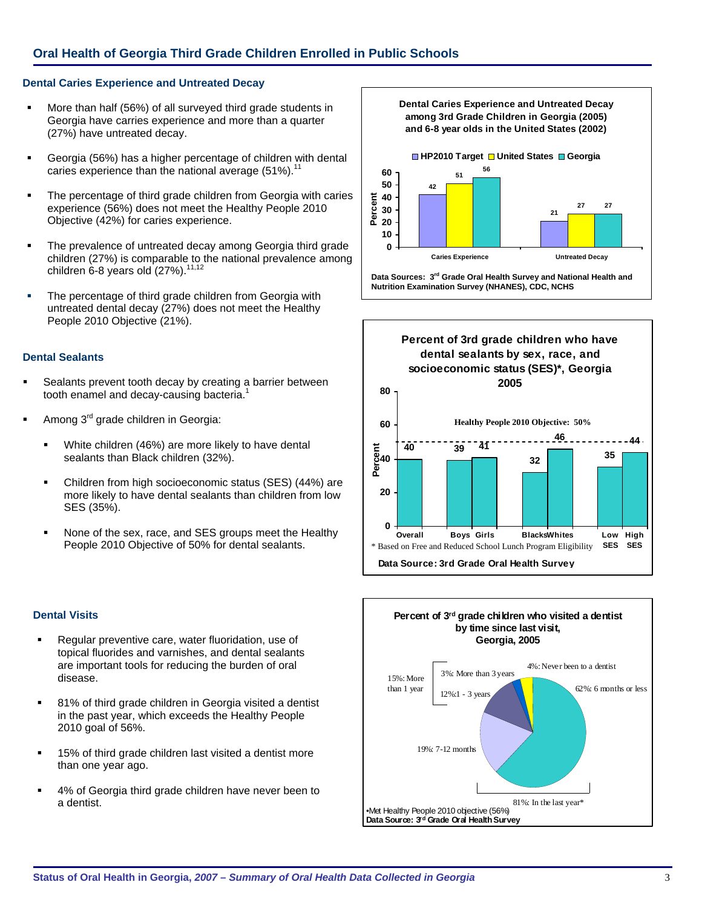## **Oral Health of Georgia Third Grade Children Enrolled in Public Schools**

## **Dental Caries Experience and Untreated Decay**

- More than half (56%) of all surveyed third grade students in Georgia have carries experience and more than a quarter (27%) have untreated decay.
- Georgia (56%) has a higher percentage of children with dental caries experience than the national average  $(51\%)$ .<sup>11</sup>
- The percentage of third grade children from Georgia with caries experience (56%) does not meet the Healthy People 2010 Objective (42%) for caries experience.
- The prevalence of untreated decay among Georgia third grade children (27%) is comparable to the national prevalence among children 6-8 years old  $(27%)$ .<sup>11,12</sup>
- The percentage of third grade children from Georgia with untreated dental decay (27%) does not meet the Healthy People 2010 Objective (21%).

### **Dental Sealants**

ī

- Sealants prevent tooth decay by creating a barrier between tooth enamel and decay-causing bacteria.<sup>1</sup>
- Among 3rd grade children in Georgia:
	- White children (46%) are more likely to have dental sealants than Black children (32%).
	- Children from high socioeconomic status (SES) (44%) are more likely to have dental sealants than children from low SES (35%).
	- None of the sex, race, and SES groups meet the Healthy People 2010 Objective of 50% for dental sealants.

### **Dental Visits**

- Regular preventive care, water fluoridation, use of topical fluorides and varnishes, and dental sealants are important tools for reducing the burden of oral disease.
- 81% of third grade children in Georgia visited a dentist in the past year, which exceeds the Healthy People 2010 goal of 56%.
- 15% of third grade children last visited a dentist more than one year ago.
- 4% of Georgia third grade children have never been to a dentist.



**Data Sources: 3rd Grade Oral Health Survey and National Health and Nutrition Examination Survey (NHANES), CDC, NCHS** 



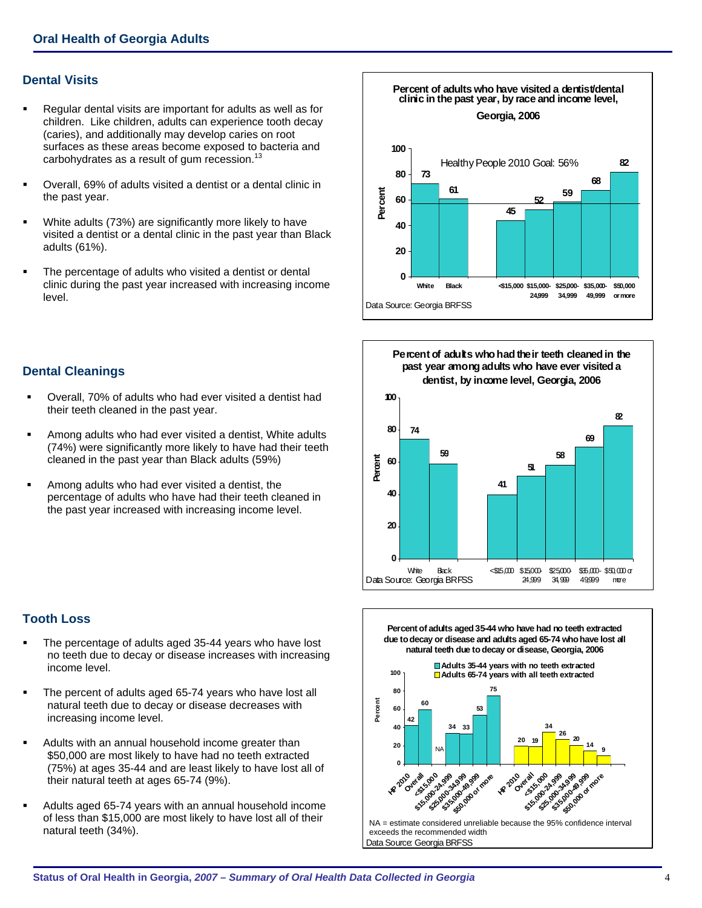## **Dental Visits**

- Regular dental visits are important for adults as well as for children. Like children, adults can experience tooth decay (caries), and additionally may develop caries on root surfaces as these areas become exposed to bacteria and carbohydrates as a result of gum recession. $^{13}$
- Overall, 69% of adults visited a dentist or a dental clinic in the past year.
- White adults (73%) are significantly more likely to have visited a dentist or a dental clinic in the past year than Black adults (61%).
- The percentage of adults who visited a dentist or dental clinic during the past year increased with increasing income level.

## **Dental Cleanings**

- Overall, 70% of adults who had ever visited a dentist had their teeth cleaned in the past year.
- Among adults who had ever visited a dentist, White adults (74%) were significantly more likely to have had their teeth cleaned in the past year than Black adults (59%)
- Among adults who had ever visited a dentist, the percentage of adults who have had their teeth cleaned in the past year increased with increasing income level.



.

- The percentage of adults aged 35-44 years who have lost no teeth due to decay or disease increases with increasing income level.
- The percent of adults aged 65-74 years who have lost all natural teeth due to decay or disease decreases with increasing income level.
- Adults with an annual household income greater than \$50,000 are most likely to have had no teeth extracted (75%) at ages 35-44 and are least likely to have lost all of their natural teeth at ages 65-74 (9%).
- Adults aged 65-74 years with an annual household income of less than \$15,000 are most likely to have lost all of their natural teeth (34%).







Data Source: Georgia BRFSS exceeds the recommended width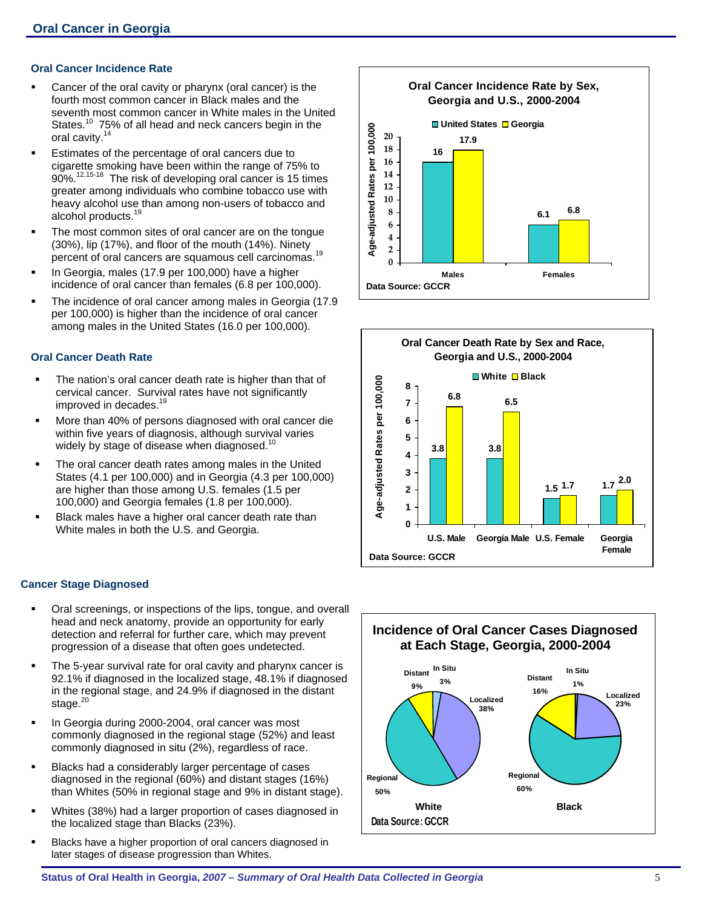## **Oral Cancer Incidence Rate**

- Cancer of the oral cavity or pharynx (oral cancer) is the fourth most common cancer in Black males and the seventh most common cancer in White males in the United States.<sup>10</sup> 75% of all head and neck cancers begin in the oral cavity.<sup>14</sup>
- **Estimates of the percentage of oral cancers due to** cigarette smoking have been within the range of 75% to 90%.<sup>12,15-18</sup> The risk of developing oral cancer is 15 times greater among individuals who combine tobacco use with heavy alcohol use than among non-users of tobacco and alcohol products.<sup>19</sup>
- The most common sites of oral cancer are on the tongue (30%), lip (17%), and floor of the mouth (14%). Ninety percent of oral cancers are squamous cell carcinomas.<sup>19</sup>
- In Georgia, males (17.9 per 100,000) have a higher incidence of oral cancer than females (6.8 per 100,000).
- The incidence of oral cancer among males in Georgia (17.9 per 100,000) is higher than the incidence of oral cancer among males in the United States (16.0 per 100,000).

## **Oral Cancer Death Rate**

- The nation's oral cancer death rate is higher than that of cervical cancer. Survival rates have not significantly improved in decades.<sup>19</sup>
- More than 40% of persons diagnosed with oral cancer die within five years of diagnosis, although survival varies widely by stage of disease when diagnosed.<sup>10</sup>
- The oral cancer death rates among males in the United States (4.1 per 100,000) and in Georgia (4.3 per 100,000) are higher than those among U.S. females (1.5 per 100,000) and Georgia females (1.8 per 100,000).
- Black males have a higher oral cancer death rate than White males in both the U.S. and Georgia.

### **Cancer Stage Diagnosed**

- Oral screenings, or inspections of the lips, tongue, and overall head and neck anatomy, provide an opportunity for early detection and referral for further care, which may prevent progression of a disease that often goes undetected.
- The 5-year survival rate for oral cavity and pharynx cancer is 92.1% if diagnosed in the localized stage, 48.1% if diagnosed in the regional stage, and 24.9% if diagnosed in the distant stage.<sup>20</sup>
- In Georgia during 2000-2004, oral cancer was most commonly diagnosed in the regional stage (52%) and least commonly diagnosed in situ (2%), regardless of race.
- Blacks had a considerably larger percentage of cases diagnosed in the regional (60%) and distant stages (16%) than Whites (50% in regional stage and 9% in distant stage).
- Whites (38%) had a larger proportion of cases diagnosed in the localized stage than Blacks (23%).
- Blacks have a higher proportion of oral cancers diagnosed in later stages of disease progression than Whites.





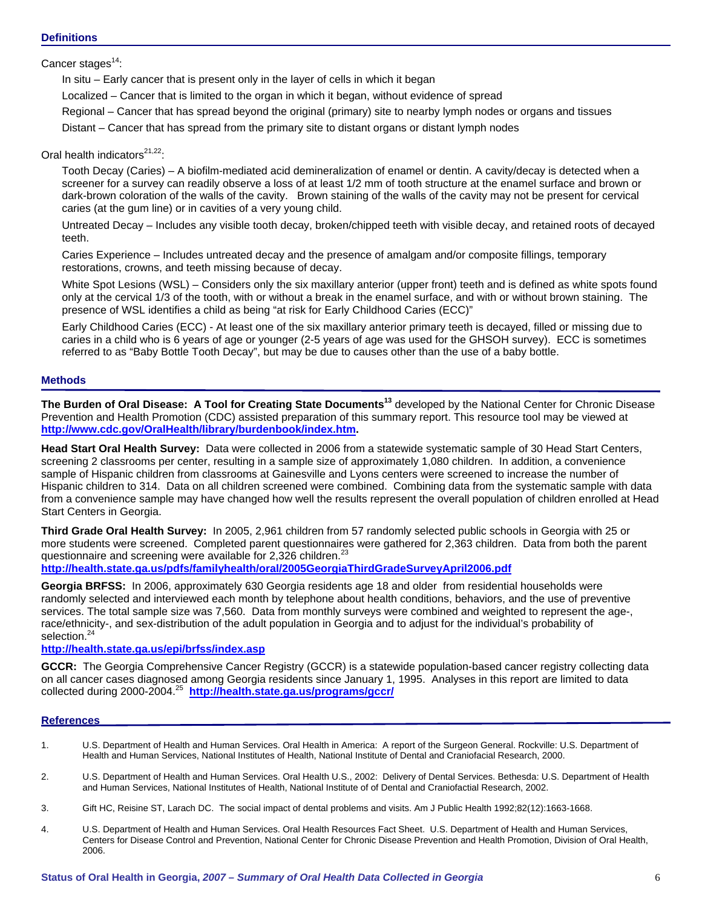## **Definitions**

Cancer stages $^{14}$ :

In situ – Early cancer that is present only in the layer of cells in which it began

Localized – Cancer that is limited to the organ in which it began, without evidence of spread

Regional – Cancer that has spread beyond the original (primary) site to nearby lymph nodes or organs and tissues

Distant – Cancer that has spread from the primary site to distant organs or distant lymph nodes

## Oral health indicators $21,22$ :

Tooth Decay (Caries) – A biofilm-mediated acid demineralization of enamel or dentin. A cavity/decay is detected when a screener for a survey can readily observe a loss of at least 1/2 mm of tooth structure at the enamel surface and brown or dark-brown coloration of the walls of the cavity. Brown staining of the walls of the cavity may not be present for cervical caries (at the gum line) or in cavities of a very young child.

Untreated Decay – Includes any visible tooth decay, broken/chipped teeth with visible decay, and retained roots of decayed teeth.

Caries Experience – Includes untreated decay and the presence of amalgam and/or composite fillings, temporary restorations, crowns, and teeth missing because of decay.

White Spot Lesions (WSL) – Considers only the six maxillary anterior (upper front) teeth and is defined as white spots found only at the cervical 1/3 of the tooth, with or without a break in the enamel surface, and with or without brown staining. The presence of WSL identifies a child as being "at risk for Early Childhood Caries (ECC)"

Early Childhood Caries (ECC) - At least one of the six maxillary anterior primary teeth is decayed, filled or missing due to caries in a child who is 6 years of age or younger (2-5 years of age was used for the GHSOH survey). ECC is sometimes referred to as "Baby Bottle Tooth Decay", but may be due to causes other than the use of a baby bottle.

## **Methods**

**The Burden of Oral Disease: A Tool for Creating State Documents<sup>13</sup>** developed by the National Center for Chronic Disease Prevention and Health Promotion (CDC) assisted preparation of this summary report. This resource tool may be viewed at **[http://www.cdc.gov/OralHealth/library/burdenbook/index.htm.](http://www.cdc.gov/OralHealth/library/burdenbook/index.htm)**

**Head Start Oral Health Survey:** Data were collected in 2006 from a statewide systematic sample of 30 Head Start Centers, screening 2 classrooms per center, resulting in a sample size of approximately 1,080 children. In addition, a convenience sample of Hispanic children from classrooms at Gainesville and Lyons centers were screened to increase the number of Hispanic children to 314. Data on all children screened were combined. Combining data from the systematic sample with data from a convenience sample may have changed how well the results represent the overall population of children enrolled at Head Start Centers in Georgia.

**Third Grade Oral Health Survey:** In 2005, 2,961 children from 57 randomly selected public schools in Georgia with 25 or more students were screened. Completed parent questionnaires were gathered for 2,363 children. Data from both the parent questionnaire and screening were available for 2,326 children.<sup>23</sup>

**<http://health.state.ga.us/pdfs/familyhealth/oral/2005GeorgiaThirdGradeSurveyApril2006.pdf>**

**Georgia BRFSS:** In 2006, approximately 630 Georgia residents age 18 and older from residential households were randomly selected and interviewed each month by telephone about health conditions, behaviors, and the use of preventive services. The total sample size was 7,560. Data from monthly surveys were combined and weighted to represent the age-, race/ethnicity-, and sex-distribution of the adult population in Georgia and to adjust for the individual's probability of selection.<sup>24</sup>

## **<http://health.state.ga.us/epi/brfss/index.asp>**

**GCCR:** The Georgia Comprehensive Cancer Registry (GCCR) is a statewide population-based cancer registry collecting data on all cancer cases diagnosed among Georgia residents since January 1, 1995. Analyses in this report are limited to data collected during 2000-2004.25 **<http://health.state.ga.us/programs/gccr/>**

### **References**

- 1. U.S. Department of Health and Human Services. Oral Health in America: A report of the Surgeon General. Rockville: U.S. Department of Health and Human Services, National Institutes of Health, National Institute of Dental and Craniofacial Research, 2000.
- 2. U.S. Department of Health and Human Services. Oral Health U.S., 2002: Delivery of Dental Services. Bethesda: U.S. Department of Health and Human Services, National Institutes of Health, National Institute of of Dental and Craniofactial Research, 2002.
- 3. Gift HC, Reisine ST, Larach DC. The social impact of dental problems and visits. Am J Public Health 1992;82(12):1663-1668.
- 4. U.S. Department of Health and Human Services. Oral Health Resources Fact Sheet. U.S. Department of Health and Human Services, Centers for Disease Control and Prevention, National Center for Chronic Disease Prevention and Health Promotion, Division of Oral Health, 2006.